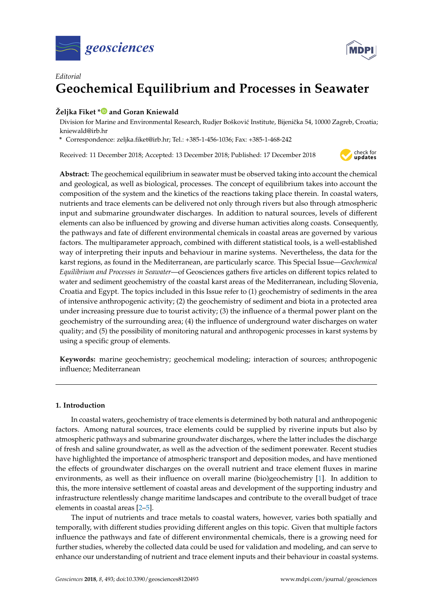



# *Editorial* **Geochemical Equilibrium and Processes in Seawater**

## **Željka Fiket [\\*](https://orcid.org/0000-0002-7628-9045) and Goran Kniewald**

Division for Marine and Environmental Research, Rudjer Bošković Institute, Bijenička 54, 10000 Zagreb, Croatia; kniewald@irb.hr

**\*** Correspondence: zeljka.fiket@irb.hr; Tel.: +385-1-456-1036; Fax: +385-1-468-242

Received: 11 December 2018; Accepted: 13 December 2018; Published: 17 December 2018



**Abstract:** The geochemical equilibrium in seawater must be observed taking into account the chemical and geological, as well as biological, processes. The concept of equilibrium takes into account the composition of the system and the kinetics of the reactions taking place therein. In coastal waters, nutrients and trace elements can be delivered not only through rivers but also through atmospheric input and submarine groundwater discharges. In addition to natural sources, levels of different elements can also be influenced by growing and diverse human activities along coasts. Consequently, the pathways and fate of different environmental chemicals in coastal areas are governed by various factors. The multiparameter approach, combined with different statistical tools, is a well-established way of interpreting their inputs and behaviour in marine systems. Nevertheless, the data for the karst regions, as found in the Mediterranean, are particularly scarce. This Special Issue—*Geochemical Equilibrium and Processes in Seawater*—of Geosciences gathers five articles on different topics related to water and sediment geochemistry of the coastal karst areas of the Mediterranean, including Slovenia, Croatia and Egypt. The topics included in this Issue refer to (1) geochemistry of sediments in the area of intensive anthropogenic activity; (2) the geochemistry of sediment and biota in a protected area under increasing pressure due to tourist activity; (3) the influence of a thermal power plant on the geochemistry of the surrounding area; (4) the influence of underground water discharges on water quality; and (5) the possibility of monitoring natural and anthropogenic processes in karst systems by using a specific group of elements.

**Keywords:** marine geochemistry; geochemical modeling; interaction of sources; anthropogenic influence; Mediterranean

### **1. Introduction**

In coastal waters, geochemistry of trace elements is determined by both natural and anthropogenic factors. Among natural sources, trace elements could be supplied by riverine inputs but also by atmospheric pathways and submarine groundwater discharges, where the latter includes the discharge of fresh and saline groundwater, as well as the advection of the sediment porewater. Recent studies have highlighted the importance of atmospheric transport and deposition modes, and have mentioned the effects of groundwater discharges on the overall nutrient and trace element fluxes in marine environments, as well as their influence on overall marine (bio)geochemistry [\[1\]](#page-3-0). In addition to this, the more intensive settlement of coastal areas and development of the supporting industry and infrastructure relentlessly change maritime landscapes and contribute to the overall budget of trace elements in coastal areas [\[2–](#page-3-1)[5\]](#page-3-2).

The input of nutrients and trace metals to coastal waters, however, varies both spatially and temporally, with different studies providing different angles on this topic. Given that multiple factors influence the pathways and fate of different environmental chemicals, there is a growing need for further studies, whereby the collected data could be used for validation and modeling, and can serve to enhance our understanding of nutrient and trace element inputs and their behaviour in coastal systems.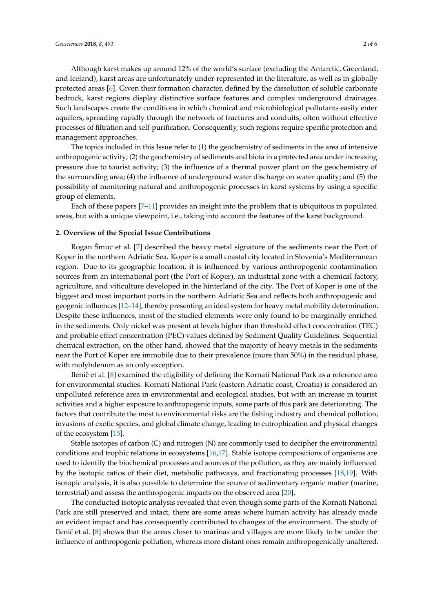Although karst makes up around 12% of the world's surface (excluding the Antarctic, Greenland, and Iceland), karst areas are unfortunately under-represented in the literature, as well as in globally protected areas [\[6\]](#page-3-3). Given their formation character, defined by the dissolution of soluble carbonate bedrock, karst regions display distinctive surface features and complex underground drainages. Such landscapes create the conditions in which chemical and microbiological pollutants easily enter aquifers, spreading rapidly through the network of fractures and conduits, often without effective processes of filtration and self-purification. Consequently, such regions require specific protection and management approaches.

The topics included in this Issue refer to (1) the geochemistry of sediments in the area of intensive anthropogenic activity; (2) the geochemistry of sediments and biota in a protected area under increasing pressure due to tourist activity; (3) the influence of a thermal power plant on the geochemistry of the surrounding area; (4) the influence of underground water discharge on water quality; and (5) the possibility of monitoring natural and anthropogenic processes in karst systems by using a specific group of elements.

Each of these papers [\[7–](#page-3-4)[11\]](#page-3-5) provides an insight into the problem that is ubiquitous in populated areas, but with a unique viewpoint, i.e., taking into account the features of the karst background.

#### **2. Overview of the Special Issue Contributions**

Rogan Šmuc et al. [\[7\]](#page-3-4) described the heavy metal signature of the sediments near the Port of Koper in the northern Adriatic Sea. Koper is a small coastal city located in Slovenia's Mediterranean region. Due to its geographic location, it is influenced by various anthropogenic contamination sources from an international port (the Port of Koper), an industrial zone with a chemical factory, agriculture, and viticulture developed in the hinterland of the city. The Port of Koper is one of the biggest and most important ports in the northern Adriatic Sea and reflects both anthropogenic and geogenic influences [\[12–](#page-3-6)[14\]](#page-3-7), thereby presenting an ideal system for heavy metal mobility determination. Despite these influences, most of the studied elements were only found to be marginally enriched in the sediments. Only nickel was present at levels higher than threshold effect concentration (TEC) and probable effect concentration (PEC) values defined by Sediment Quality Guidelines. Sequential chemical extraction, on the other hand, showed that the majority of heavy metals in the sediments near the Port of Koper are immobile due to their prevalence (more than 50%) in the residual phase, with molybdenum as an only exception.

Ilenič et al. [\[8\]](#page-3-8) examined the eligibility of defining the Kornati National Park as a reference area for environmental studies. Kornati National Park (eastern Adriatic coast, Croatia) is considered an unpolluted reference area in environmental and ecological studies, but with an increase in tourist activities and a higher exposure to anthropogenic inputs, some parts of this park are deteriorating. The factors that contribute the most to environmental risks are the fishing industry and chemical pollution, invasions of exotic species, and global climate change, leading to eutrophication and physical changes of the ecosystem [\[15\]](#page-3-9).

Stable isotopes of carbon (C) and nitrogen (N) are commonly used to decipher the environmental conditions and trophic relations in ecosystems [\[16,](#page-4-0)[17\]](#page-4-1). Stable isotope compositions of organisms are used to identify the biochemical processes and sources of the pollution, as they are mainly influenced by the isotopic ratios of their diet, metabolic pathways, and fractionating processes [\[18,](#page-4-2)[19\]](#page-4-3). With isotopic analysis, it is also possible to determine the source of sedimentary organic matter (marine, terrestrial) and assess the anthropogenic impacts on the observed area [\[20\]](#page-4-4).

The conducted isotopic analysis revealed that even though some parts of the Kornati National Park are still preserved and intact, there are some areas where human activity has already made an evident impact and has consequently contributed to changes of the environment. The study of Ilenič et al.  $[8]$  shows that the areas closer to marinas and villages are more likely to be under the influence of anthropogenic pollution, whereas more distant ones remain anthropogenically unaltered.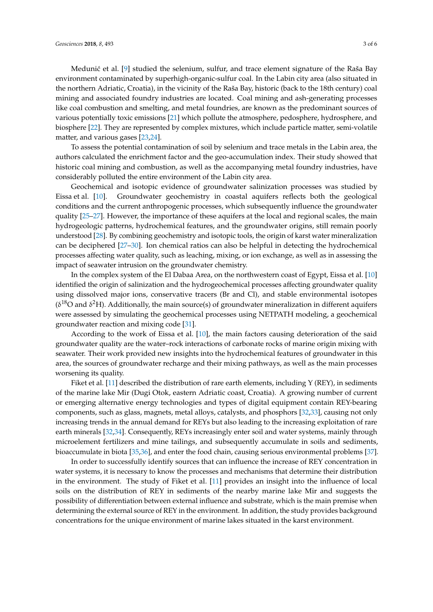Medunić et al. [\[9\]](#page-3-10) studied the selenium, sulfur, and trace element signature of the Raša Bay environment contaminated by superhigh-organic-sulfur coal. In the Labin city area (also situated in the northern Adriatic, Croatia), in the vicinity of the Raša Bay, historic (back to the 18th century) coal mining and associated foundry industries are located. Coal mining and ash-generating processes like coal combustion and smelting, and metal foundries, are known as the predominant sources of various potentially toxic emissions [\[21\]](#page-4-5) which pollute the atmosphere, pedosphere, hydrosphere, and biosphere [\[22\]](#page-4-6). They are represented by complex mixtures, which include particle matter, semi-volatile matter, and various gases [\[23,](#page-4-7)[24\]](#page-4-8).

To assess the potential contamination of soil by selenium and trace metals in the Labin area, the authors calculated the enrichment factor and the geo-accumulation index. Their study showed that historic coal mining and combustion, as well as the accompanying metal foundry industries, have considerably polluted the entire environment of the Labin city area.

Geochemical and isotopic evidence of groundwater salinization processes was studied by Eissa et al. [\[10\]](#page-3-11). Groundwater geochemistry in coastal aquifers reflects both the geological conditions and the current anthropogenic processes, which subsequently influence the groundwater quality [\[25](#page-4-9)[–27\]](#page-4-10). However, the importance of these aquifers at the local and regional scales, the main hydrogeologic patterns, hydrochemical features, and the groundwater origins, still remain poorly understood [\[28\]](#page-4-11). By combining geochemistry and isotopic tools, the origin of karst water mineralization can be deciphered [\[27](#page-4-10)[–30\]](#page-4-12). Ion chemical ratios can also be helpful in detecting the hydrochemical processes affecting water quality, such as leaching, mixing, or ion exchange, as well as in assessing the impact of seawater intrusion on the groundwater chemistry.

In the complex system of the El Dabaa Area, on the northwestern coast of Egypt, Eissa et al. [\[10\]](#page-3-11) identified the origin of salinization and the hydrogeochemical processes affecting groundwater quality using dissolved major ions, conservative tracers (Br and Cl), and stable environmental isotopes ( $\delta^{18}$ O and  $\delta^2$ H). Additionally, the main source(s) of groundwater mineralization in different aquifers were assessed by simulating the geochemical processes using NETPATH modeling, a geochemical groundwater reaction and mixing code [\[31\]](#page-4-13).

According to the work of Eissa et al. [\[10\]](#page-3-11), the main factors causing deterioration of the said groundwater quality are the water–rock interactions of carbonate rocks of marine origin mixing with seawater. Their work provided new insights into the hydrochemical features of groundwater in this area, the sources of groundwater recharge and their mixing pathways, as well as the main processes worsening its quality.

Fiket et al. [\[11\]](#page-3-5) described the distribution of rare earth elements, including  $Y(REY)$ , in sediments of the marine lake Mir (Dugi Otok, eastern Adriatic coast, Croatia). A growing number of current or emerging alternative energy technologies and types of digital equipment contain REY-bearing components, such as glass, magnets, metal alloys, catalysts, and phosphors [\[32,](#page-4-14)[33\]](#page-4-15), causing not only increasing trends in the annual demand for REYs but also leading to the increasing exploitation of rare earth minerals [\[32,](#page-4-14)[34\]](#page-4-16). Consequently, REYs increasingly enter soil and water systems, mainly through microelement fertilizers and mine tailings, and subsequently accumulate in soils and sediments, bioaccumulate in biota [\[35,](#page-4-17)[36\]](#page-5-0), and enter the food chain, causing serious environmental problems [\[37\]](#page-5-1).

In order to successfully identify sources that can influence the increase of REY concentration in water systems, it is necessary to know the processes and mechanisms that determine their distribution in the environment. The study of Fiket et al. [\[11\]](#page-3-5) provides an insight into the influence of local soils on the distribution of REY in sediments of the nearby marine lake Mir and suggests the possibility of differentiation between external influence and substrate, which is the main premise when determining the external source of REY in the environment. In addition, the study provides background concentrations for the unique environment of marine lakes situated in the karst environment.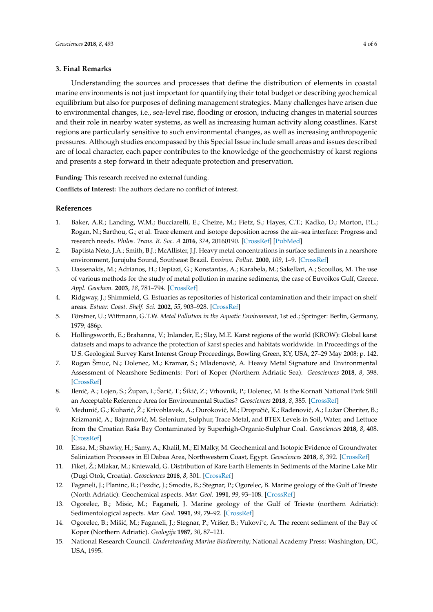#### **3. Final Remarks**

Understanding the sources and processes that define the distribution of elements in coastal marine environments is not just important for quantifying their total budget or describing geochemical equilibrium but also for purposes of defining management strategies. Many challenges have arisen due to environmental changes, i.e., sea-level rise, flooding or erosion, inducing changes in material sources and their role in nearby water systems, as well as increasing human activity along coastlines. Karst regions are particularly sensitive to such environmental changes, as well as increasing anthropogenic pressures. Although studies encompassed by this Special Issue include small areas and issues described are of local character, each paper contributes to the knowledge of the geochemistry of karst regions and presents a step forward in their adequate protection and preservation.

**Funding:** This research received no external funding.

**Conflicts of Interest:** The authors declare no conflict of interest.

#### **References**

- <span id="page-3-0"></span>1. Baker, A.R.; Landing, W.M.; Bucciarelli, E.; Cheize, M.; Fietz, S.; Hayes, C.T.; Kadko, D.; Morton, P.L.; Rogan, N.; Sarthou, G.; et al. Trace element and isotope deposition across the air–sea interface: Progress and research needs. *Philos. Trans. R. Soc. A* **2016**, *374*, 20160190. [\[CrossRef\]](http://dx.doi.org/10.1098/rsta.2016.0190) [\[PubMed\]](http://www.ncbi.nlm.nih.gov/pubmed/29035268)
- <span id="page-3-1"></span>2. Baptista Neto, J.A.; Smith, B.J.; McAllister, J.J. Heavy metal concentrations in surface sediments in a nearshore environment, Jurujuba Sound, Southeast Brazil. *Environ. Pollut.* **2000**, *109*, 1–9. [\[CrossRef\]](http://dx.doi.org/10.1016/S0269-7491(99)00233-X)
- 3. Dassenakis, M.; Adrianos, H.; Depiazi, G.; Konstantas, A.; Karabela, M.; Sakellari, A.; Scoullos, M. The use of various methods for the study of metal pollution in marine sediments, the case of Euvoikos Gulf, Greece. *Appl. Geochem.* **2003**, *18*, 781–794. [\[CrossRef\]](http://dx.doi.org/10.1016/S0883-2927(02)00186-5)
- 4. Ridgway, J.; Shimmield, G. Estuaries as repositories of historical contamination and their impact on shelf areas. *Estuar. Coast. Shelf. Sci.* **2002**, *55*, 903–928. [\[CrossRef\]](http://dx.doi.org/10.1006/ecss.2002.1035)
- <span id="page-3-2"></span>5. Förstner, U.; Wittmann, G.T.W. *Metal Pollution in the Aquatic Environment*, 1st ed.; Springer: Berlin, Germany, 1979; 486p.
- <span id="page-3-3"></span>6. Hollingsworth, E.; Brahanna, V.; Inlander, E.; Slay, M.E. Karst regions of the world (KROW): Global karst datasets and maps to advance the protection of karst species and habitats worldwide. In Proceedings of the U.S. Geological Survey Karst Interest Group Proceedings, Bowling Green, KY, USA, 27–29 May 2008; p. 142.
- <span id="page-3-4"></span>7. Rogan Šmuc, N.; Dolenec, M.; Kramar, S.; Mladenović, A. Heavy Metal Signature and Environmental Assessment of Nearshore Sediments: Port of Koper (Northern Adriatic Sea). *Geosciences* **2018**, *8*, 398. [\[CrossRef\]](http://dx.doi.org/10.3390/geosciences8110398)
- <span id="page-3-8"></span>8. Ilenič, A.; Lojen, S.; Župan, I.; Šarić, T.; Šikić, Z.; Vrhovnik, P.; Dolenec, M. Is the Kornati National Park Still an Acceptable Reference Area for Environmental Studies? *Geosciences* **2018**, *8*, 385. [\[CrossRef\]](http://dx.doi.org/10.3390/geosciences8110385)
- <span id="page-3-10"></span>9. Medunić, G.; Kuharić, Ž.; Krivohlavek, A.; Đuroković, M.; Dropučić, K.; Rađenović, A.; Lužar Oberiter, B.; Krizmanić, A.; Bajramović, M. Selenium, Sulphur, Trace Metal, and BTEX Levels in Soil, Water, and Lettuce from the Croatian Raša Bay Contaminated by Superhigh-Organic-Sulphur Coal. *Geosciences* **2018**, *8*, 408. [\[CrossRef\]](http://dx.doi.org/10.3390/geosciences8110408)
- <span id="page-3-11"></span>10. Eissa, M.; Shawky, H.; Samy, A.; Khalil, M.; El Malky, M. Geochemical and Isotopic Evidence of Groundwater Salinization Processes in El Dabaa Area, Northwestern Coast, Egypt. *Geosciences* **2018**, *8*, 392. [\[CrossRef\]](http://dx.doi.org/10.3390/geosciences8110392)
- <span id="page-3-5"></span>11. Fiket, Ž.; Mlakar, M.; Kniewald, G. Distribution of Rare Earth Elements in Sediments of the Marine Lake Mir (Dugi Otok, Croatia). *Geosciences* **2018**, *8*, 301. [\[CrossRef\]](http://dx.doi.org/10.3390/geosciences8080301)
- <span id="page-3-6"></span>12. Faganeli, J.; Planinc, R.; Pezdic, J.; Smodis, B.; Stegnar, P.; Ogorelec, B. Marine geology of the Gulf of Trieste (North Adriatic): Geochemical aspects. *Mar. Geol.* **1991**, *99*, 93–108. [\[CrossRef\]](http://dx.doi.org/10.1016/0025-3227(91)90085-I)
- 13. Ogorelec, B.; Misic, M.; Faganeli, J. Marine geology of the Gulf of Trieste (northern Adriatic): Sedimentological aspects. *Mar. Geol.* **1991**, *99*, 79–92. [\[CrossRef\]](http://dx.doi.org/10.1016/0025-3227(91)90084-H)
- <span id="page-3-7"></span>14. Ogorelec, B.; Mišić, M.; Faganeli, J.; Stegnar, P.; Vrišer, B.; Vukovič, A. The recent sediment of the Bay of Koper (Northern Adriatic). *Geologija* **1987**, *30*, 87–121.
- <span id="page-3-9"></span>15. National Research Council. *Understanding Marine Biodiversity*; National Academy Press: Washington, DC, USA, 1995.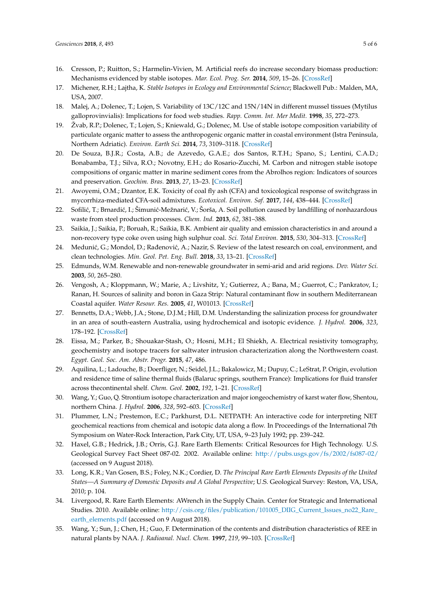- <span id="page-4-0"></span>16. Cresson, P.; Ruitton, S.; Harmelin-Vivien, M. Artificial reefs do increase secondary biomass production: Mechanisms evidenced by stable isotopes. *Mar. Ecol. Prog. Ser.* **2014**, *509*, 15–26. [\[CrossRef\]](http://dx.doi.org/10.3354/meps10866)
- <span id="page-4-1"></span>17. Michener, R.H.; Lajtha, K. *Stable Isotopes in Ecology and Environmental Science*; Blackwell Pub.: Malden, MA, USA, 2007.
- <span id="page-4-2"></span>18. Malej, A.; Dolenec, T.; Lojen, S. Variability of 13C/12C and 15N/14N in different mussel tissues (Mytilus galloprovinvialis): Implications for food web studies. *Rapp. Comm. Int. Mer Medit.* **1998**, *35*, 272–273.
- <span id="page-4-3"></span>19. Žvab, R.P.; Dolenec, T.; Lojen, S.; Kniewald, G.; Dolenec, M. Use of stable isotope composition variability of particulate organic matter to assess the anthropogenic organic matter in coastal environment (Istra Peninsula, Northern Adriatic). *Environ. Earth Sci.* **2014**, *73*, 3109–3118. [\[CrossRef\]](http://dx.doi.org/10.1007/s12665-014-3606-x)
- <span id="page-4-4"></span>20. De Souza, B.J.R.; Costa, A.B.; de Azevedo, G.A.E.; dos Santos, R.T.H.; Spano, S.; Lentini, C.A.D.; Bonabamba, T.J.; Silva, R.O.; Novotny, E.H.; do Rosario-Zucchi, M. Carbon and nitrogen stable isotope compositions of organic matter in marine sediment cores from the Abrolhos region: Indicators of sources and preservation. *Geochim. Bras.* **2013**, *27*, 13–23. [\[CrossRef\]](http://dx.doi.org/10.5327/Z0102-9800201300010002)
- <span id="page-4-5"></span>21. Awoyemi, O.M.; Dzantor, E.K. Toxicity of coal fly ash (CFA) and toxicological response of switchgrass in mycorrhiza-mediated CFA-soil admixtures. *Ecotoxicol. Environ. Saf.* **2017**, *144*, 438–444. [\[CrossRef\]](http://dx.doi.org/10.1016/j.ecoenv.2017.06.059)
- <span id="page-4-6"></span>22. Sofilić, T.; Brnardić, I.; Šimunić-Mežnarić, V.; Šorša, A. Soil pollution caused by landfilling of nonhazardous waste from steel production processes. *Chem. Ind.* **2013**, *62*, 381–388.
- <span id="page-4-7"></span>23. Saikia, J.; Saikia, P.; Boruah, R.; Saikia, B.K. Ambient air quality and emission characteristics in and around a non-recovery type coke oven using high sulphur coal. *Sci. Total Environ.* **2015**, *530*, 304–313. [\[CrossRef\]](http://dx.doi.org/10.1016/j.scitotenv.2015.05.109)
- <span id="page-4-8"></span>24. Medunić, G.; Mondol, D.; Rađenović, A.; Nazir, S. Review of the latest research on coal, environment, and clean technologies. *Min. Geol. Pet. Eng. Bull.* **2018**, *33*, 13–21. [\[CrossRef\]](http://dx.doi.org/10.17794/rgn.2018.3.2)
- <span id="page-4-9"></span>25. Edmunds, W.M. Renewable and non-renewable groundwater in semi-arid and arid regions. *Dev. Water Sci.* **2003**, *50*, 265–280.
- 26. Vengosh, A.; Kloppmann, W.; Marie, A.; Livshitz, Y.; Gutierrez, A.; Bana, M.; Guerrot, C.; Pankratov, I.; Ranan, H. Sources of salinity and boron in Gaza Strip: Natural contaminant flow in southern Mediterranean Coastal aquifer. *Water Resour. Res.* **2005**, *41*, W01013. [\[CrossRef\]](http://dx.doi.org/10.1029/2004WR003344)
- <span id="page-4-10"></span>27. Bennetts, D.A.; Webb, J.A.; Stone, D.J.M.; Hill, D.M. Understanding the salinization process for groundwater in an area of south-eastern Australia, using hydrochemical and isotopic evidence. *J. Hydrol.* **2006**, *323*, 178–192. [\[CrossRef\]](http://dx.doi.org/10.1016/j.jhydrol.2005.08.023)
- <span id="page-4-11"></span>28. Eissa, M.; Parker, B.; Shouakar-Stash, O.; Hosni, M.H.; El Shiekh, A. Electrical resistivity tomography, geochemistry and isotope tracers for saltwater intrusion characterization along the Northwestern coast. *Egypt. Geol. Soc. Am. Abstr. Progr.* **2015**, *47*, 486.
- 29. Aquilina, L.; Ladouche, B.; Doerfliger, N.; Seidel, J.L.; Bakalowicz, M.; Dupuy, C.; LeStrat, P. Origin, evolution and residence time of saline thermal fluids (Balaruc springs, southern France): Implications for fluid transfer across thecontinental shelf. *Chem. Geol.* **2002**, *192*, 1–21. [\[CrossRef\]](http://dx.doi.org/10.1016/S0009-2541(02)00160-2)
- <span id="page-4-12"></span>30. Wang, Y.; Guo, Q. Strontium isotope characterization and major iongeochemistry of karst water flow, Shentou, northern China. *J. Hydrol.* **2006**, *328*, 592–603. [\[CrossRef\]](http://dx.doi.org/10.1016/j.jhydrol.2006.01.006)
- <span id="page-4-13"></span>31. Plummer, L.N.; Prestemon, E.C.; Parkhurst, D.L. NETPATH: An interactive code for interpreting NET geochemical reactions from chemical and isotopic data along a flow. In Proceedings of the International 7th Symposium on Water-Rock Interaction, Park City, UT, USA, 9–23 July 1992; pp. 239–242.
- <span id="page-4-14"></span>32. Haxel, G.B.; Hedrick, J.B.; Orris, G.J. Rare Earth Elements: Critical Resources for High Technology. U.S. Geological Survey Fact Sheet 087-02. 2002. Available online: <http://pubs.usgs.gov/fs/2002/fs087-02/> (accessed on 9 August 2018).
- <span id="page-4-15"></span>33. Long, K.R.; Van Gosen, B.S.; Foley, N.K.; Cordier, D. *The Principal Rare Earth Elements Deposits of the United States—A Summary of Domestic Deposits and A Global Perspective*; U.S. Geological Survey: Reston, VA, USA, 2010; p. 104.
- <span id="page-4-16"></span>34. Livergood, R. Rare Earth Elements: AWrench in the Supply Chain. Center for Strategic and International Studies. 2010. Available online: [http://csis.org/files/publication/101005\\_DIIG\\_Current\\_Issues\\_no22\\_Rare\\_](http://csis.org/files/publication/101005_DIIG_Current_Issues_no22_Rare_earth_elements.pdf) [earth\\_elements.pdf](http://csis.org/files/publication/101005_DIIG_Current_Issues_no22_Rare_earth_elements.pdf) (accessed on 9 August 2018).
- <span id="page-4-17"></span>35. Wang, Y.; Sun, J.; Chen, H.; Guo, F. Determination of the contents and distribution characteristics of REE in natural plants by NAA. *J. Radioanal. Nucl. Chem.* **1997**, *219*, 99–103. [\[CrossRef\]](http://dx.doi.org/10.1007/BF02040273)